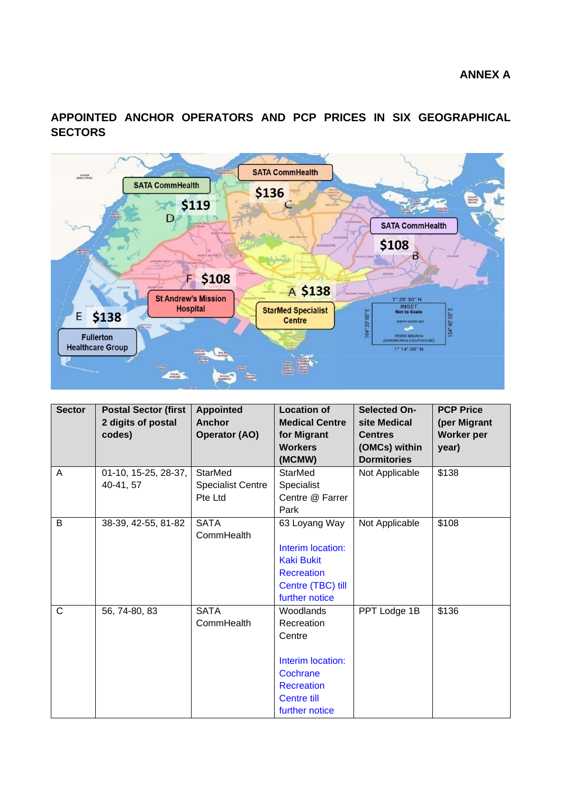**APPOINTED ANCHOR OPERATORS AND PCP PRICES IN SIX GEOGRAPHICAL SECTORS**



| <b>Sector</b> | <b>Postal Sector (first</b><br>2 digits of postal<br>codes) | <b>Appointed</b><br>Anchor<br><b>Operator (AO)</b> | <b>Location of</b><br><b>Medical Centre</b><br>for Migrant                                                               | <b>Selected On-</b><br>site Medical<br><b>Centres</b> | <b>PCP Price</b><br>(per Migrant<br>Worker per |
|---------------|-------------------------------------------------------------|----------------------------------------------------|--------------------------------------------------------------------------------------------------------------------------|-------------------------------------------------------|------------------------------------------------|
|               |                                                             |                                                    | <b>Workers</b><br>(MCMW)                                                                                                 | (OMCs) within<br><b>Dormitories</b>                   | year)                                          |
| A             | 01-10, 15-25, 28-37,<br>40-41, 57                           | StarMed<br><b>Specialist Centre</b><br>Pte Ltd     | <b>StarMed</b><br>Specialist<br>Centre @ Farrer<br>Park                                                                  | Not Applicable                                        | \$138                                          |
| B             | 38-39, 42-55, 81-82                                         | <b>SATA</b><br>CommHealth                          | 63 Loyang Way<br>Interim location:<br><b>Kaki Bukit</b><br><b>Recreation</b><br>Centre (TBC) till<br>further notice      | Not Applicable                                        | \$108                                          |
| C             | 56, 74-80, 83                                               | <b>SATA</b><br>CommHealth                          | Woodlands<br>Recreation<br>Centre<br>Interim location:<br>Cochrane<br><b>Recreation</b><br>Centre till<br>further notice | PPT Lodge 1B                                          | \$136                                          |